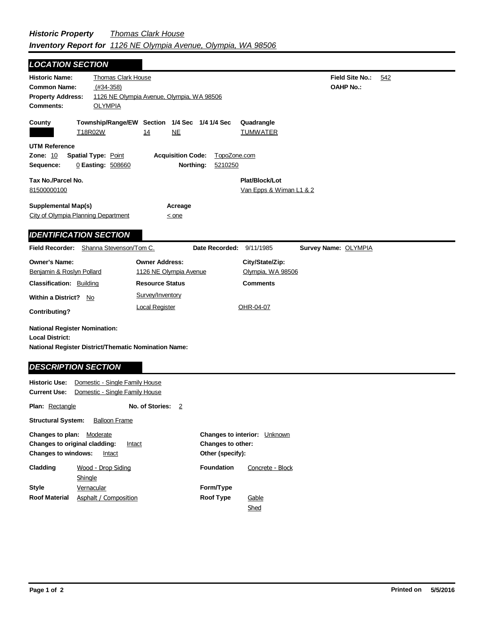| <b>LOCATION SECTION</b>                                                                                                       |                                                                  |                                                           |                      |                                           |                             |                                            |     |
|-------------------------------------------------------------------------------------------------------------------------------|------------------------------------------------------------------|-----------------------------------------------------------|----------------------|-------------------------------------------|-----------------------------|--------------------------------------------|-----|
| <b>Historic Name:</b><br><b>Common Name:</b><br><b>Property Address:</b><br><b>Comments:</b>                                  | <b>Thomas Clark House</b><br>$(H34-358)$<br><b>OLYMPIA</b>       | 1126 NE Olympia Avenue, Olympia, WA 98506                 |                      |                                           |                             | <b>Field Site No.:</b><br><b>OAHP No.:</b> | 542 |
| County                                                                                                                        | T18R02W                                                          | Township/Range/EW Section 1/4 Sec 1/4 1/4 Sec<br>NE<br>14 |                      | Quadrangle<br><b>TUMWATER</b>             |                             |                                            |     |
| <b>UTM Reference</b><br><b>Zone: 10</b><br>Sequence:                                                                          | <b>Spatial Type: Point</b><br>0 Easting: 508660                  | <b>Acquisition Code:</b>                                  | Northing:<br>5210250 | TopoZone.com                              |                             |                                            |     |
| Tax No./Parcel No.<br>81500000100                                                                                             |                                                                  |                                                           |                      | Plat/Block/Lot<br>Van Epps & Wiman L1 & 2 |                             |                                            |     |
| <b>Supplemental Map(s)</b><br>City of Olympia Planning Department                                                             |                                                                  | Acreage<br>$\leq$ one                                     |                      |                                           |                             |                                            |     |
| <b>IDENTIFICATION SECTION</b>                                                                                                 |                                                                  |                                                           |                      |                                           |                             |                                            |     |
| <b>Field Recorder:</b>                                                                                                        | Shanna Stevenson/Tom C.                                          |                                                           | Date Recorded:       | 9/11/1985                                 | <b>Survey Name: OLYMPIA</b> |                                            |     |
| <b>Owner's Name:</b><br>Benjamin & Roslyn Pollard                                                                             |                                                                  | <b>Owner Address:</b><br>1126 NE Olympia Avenue           |                      | City/State/Zip:<br>Olympia, WA 98506      |                             |                                            |     |
| <b>Classification: Building</b>                                                                                               |                                                                  | <b>Resource Status</b>                                    |                      | <b>Comments</b>                           |                             |                                            |     |
| <b>Within a District?</b><br><b>Contributing?</b>                                                                             | No                                                               | Survey/Inventory<br><b>Local Register</b>                 |                      | OHR-04-07                                 |                             |                                            |     |
| <b>National Register Nomination:</b><br><b>Local District:</b><br><b>National Register District/Thematic Nomination Name:</b> |                                                                  |                                                           |                      |                                           |                             |                                            |     |
| <b>DESCRIPTION SECTION</b>                                                                                                    |                                                                  |                                                           |                      |                                           |                             |                                            |     |
| <b>Historic Use:</b><br><b>Current Use:</b>                                                                                   | Domestic - Single Family House<br>Domestic - Single Family House |                                                           |                      |                                           |                             |                                            |     |
| <b>Plan: Rectangle</b>                                                                                                        |                                                                  | No. of Stories:<br>$\overline{2}$                         |                      |                                           |                             |                                            |     |
| <b>Structural System:</b>                                                                                                     | <b>Balloon Frame</b>                                             |                                                           |                      |                                           |                             |                                            |     |

| <b>Changes to plan:</b> Moderate<br><b>Changes to windows:</b> | <b>Changes to original cladding:</b><br>Intact<br>Intact | <b>Changes to interior:</b> Unknown<br><b>Changes to other:</b><br>Other (specify): |                  |  |
|----------------------------------------------------------------|----------------------------------------------------------|-------------------------------------------------------------------------------------|------------------|--|
| Cladding                                                       | Wood - Drop Siding                                       | <b>Foundation</b>                                                                   | Concrete - Block |  |
|                                                                | Shingle                                                  |                                                                                     |                  |  |
| Style                                                          | Vernacular                                               | Form/Type                                                                           |                  |  |
| <b>Roof Material</b>                                           | Asphalt / Composition                                    | <b>Roof Type</b>                                                                    | Gable            |  |
|                                                                |                                                          |                                                                                     | Shed             |  |